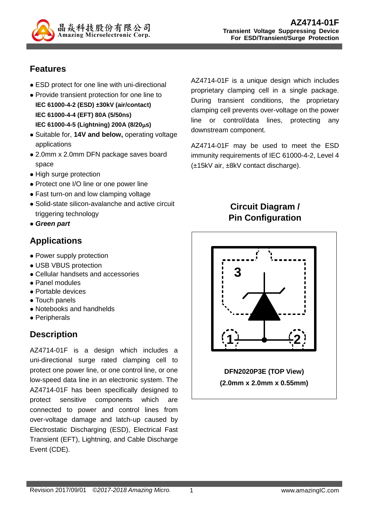

### **Features**

- ESD protect for one line with uni-directional
- Provide transient protection for one line to **IEC 61000-4-2 (ESD) ±30kV (air/contact) IEC 61000-4-4 (EFT) 80A (5/50ns) IEC 61000-4-5 (Lightning) 200A (8/20s)**
- Suitable for, **14V and below,** operating voltage applications
- 2.0mm x 2.0mm DFN package saves board space
- High surge protection
- Protect one I/O line or one power line
- Fast turn-on and low clamping voltage
- Solid-state silicon-avalanche and active circuit triggering technology
- *Green part*

### **Applications**

- Power supply protection
- USB VBUS protection
- Cellular handsets and accessories
- Panel modules
- Portable devices
- Touch panels
- Notebooks and handhelds
- Peripherals

# **Description**

AZ4714-01F is a design which includes a uni-directional surge rated clamping cell to protect one power line, or one control line, or one low-speed data line in an electronic system. The AZ4714-01F has been specifically designed to protect sensitive components which are connected to power and control lines from over-voltage damage and latch-up caused by Electrostatic Discharging (ESD), Electrical Fast Transient (EFT), Lightning, and Cable Discharge Event (CDE).

AZ4714-01F is a unique design which includes proprietary clamping cell in a single package. During transient conditions, the proprietary clamping cell prevents over-voltage on the power line or control/data lines, protecting any downstream component.

AZ4714-01F may be used to meet the ESD immunity requirements of IEC 61000-4-2, Level 4 (±15kV air, ±8kV contact discharge).

## **Circuit Diagram / Pin Configuration**

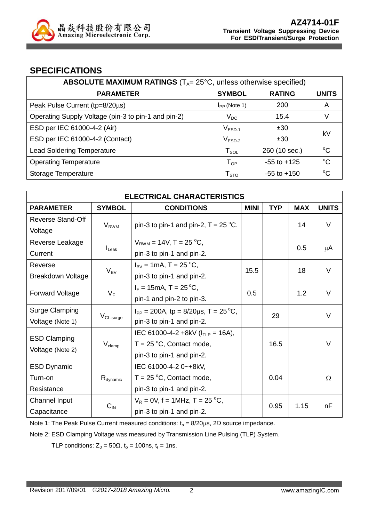

#### **SPECIFICATIONS**

| ABSOLUTE MAXIMUM RATINGS $(T_A = 25^{\circ}C,$ unless otherwise specified) |                            |                 |              |  |
|----------------------------------------------------------------------------|----------------------------|-----------------|--------------|--|
| <b>PARAMETER</b>                                                           | <b>SYMBOL</b>              | <b>RATING</b>   | <b>UNITS</b> |  |
| Peak Pulse Current (tp=8/20µs)                                             | $I_{PP}$ (Note 1)          | 200             | A            |  |
| Operating Supply Voltage (pin-3 to pin-1 and pin-2)                        | $V_{DC}$                   | 15.4            | V            |  |
| ESD per IEC 61000-4-2 (Air)                                                | $VESD-1$                   | ±30<br>kV       |              |  |
| ESD per IEC 61000-4-2 (Contact)                                            | $V_{ESD-2}$                | ±30             |              |  |
| <b>Lead Soldering Temperature</b>                                          | $T_{\texttt{SOL}}$         | 260 (10 sec.)   | $^{\circ}C$  |  |
| <b>Operating Temperature</b>                                               | $\mathsf{T}_{\mathsf{OP}}$ | $-55$ to $+125$ | $^{\circ}C$  |  |
| Storage Temperature                                                        | ${\sf T}_{\text{STO}}$     | $-55$ to $+150$ | °C           |  |

| <b>ELECTRICAL CHARACTERISTICS</b> |                      |                                                |             |            |            |              |
|-----------------------------------|----------------------|------------------------------------------------|-------------|------------|------------|--------------|
| <b>PARAMETER</b>                  | <b>SYMBOL</b>        | <b>CONDITIONS</b>                              | <b>MINI</b> | <b>TYP</b> | <b>MAX</b> | <b>UNITS</b> |
| Reverse Stand-Off                 |                      |                                                |             |            | 14         | V            |
| Voltage                           | $V_{RWM}$            | pin-3 to pin-1 and pin-2, $T = 25$ °C.         |             |            |            |              |
| Reverse Leakage                   |                      | $V_{RWM}$ = 14V, T = 25 °C,                    |             |            |            |              |
| Current                           | $I_{\text{L}eak}$    | pin-3 to pin-1 and pin-2.                      |             |            | 0.5        | μA           |
| Reverse                           |                      | $I_{\rm BV}$ = 1mA, T = 25 °C,                 |             |            |            | V            |
| <b>Breakdown Voltage</b>          | $V_{BV}$             | pin-3 to pin-1 and pin-2.                      | 15.5        |            | 18         |              |
|                                   |                      | $I_F = 15 \text{mA}, T = 25 \degree \text{C},$ | 0.5         |            | 1.2        | V            |
| <b>Forward Voltage</b>            |                      | $V_F$<br>pin-1 and pin-2 to pin-3.             |             |            |            |              |
| <b>Surge Clamping</b>             |                      | $I_{PP}$ = 200A, tp = 8/20 $\mu$ s, T = 25 °C, |             | 29         |            | V            |
| Voltage (Note 1)                  | $V_{CL-surge}$       | pin-3 to pin-1 and pin-2.                      |             |            |            |              |
|                                   |                      | IEC 61000-4-2 +8kV ( $I_{TLP}$ = 16A),         |             |            |            |              |
| <b>ESD Clamping</b>               | $V_{\text{clamp}}$   | $T = 25$ °C, Contact mode,                     |             | 16.5       |            | V            |
| Voltage (Note 2)                  |                      | pin-3 to pin-1 and pin-2.                      |             |            |            |              |
| <b>ESD Dynamic</b>                |                      | IEC 61000-4-2 0~+8kV,                          |             |            |            |              |
| Turn-on                           | $R_{\text{dynamic}}$ | $T = 25 \degree C$ , Contact mode,             |             | 0.04       |            | Ω            |
| Resistance                        |                      | pin-3 to pin-1 and pin-2.                      |             |            |            |              |
| Channel Input                     |                      | $V_R = 0V$ , f = 1MHz, T = 25 °C,              | 0.95        |            | 1.15       |              |
| Capacitance                       | $C_{IN}$             | pin-3 to pin-1 and pin-2.                      |             |            |            | nF           |

Note 1: The Peak Pulse Current measured conditions:  $t_p = 8/20 \mu s$ , 2 $\Omega$  source impedance.

Note 2: ESD Clamping Voltage was measured by Transmission Line Pulsing (TLP) System.

TLP conditions:  $Z_0 = 50\Omega$ ,  $t_p = 100$ ns,  $t_r = 1$ ns.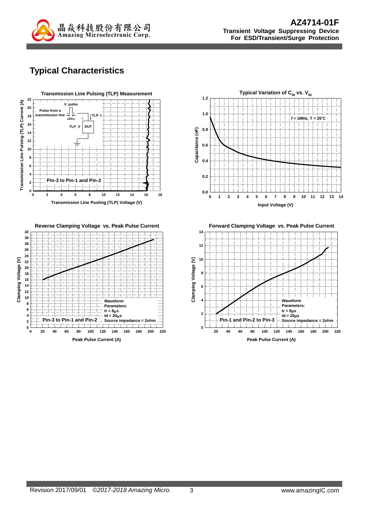

# **Typical Characteristics**







**Forward Clamping Voltage vs. Peak Pulse Current**

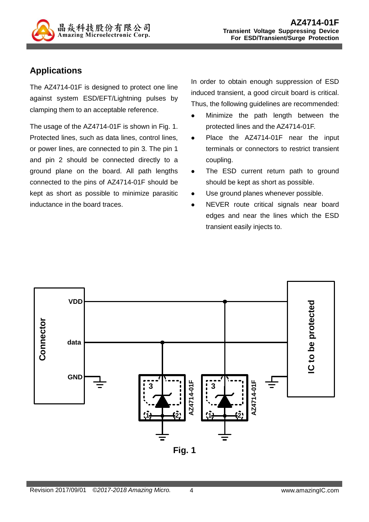

### **Applications**

The AZ4714-01F is designed to protect one line against system ESD/EFT/Lightning pulses by clamping them to an acceptable reference.

The usage of the AZ4714-01F is shown in Fig. 1. Protected lines, such as data lines, control lines, or power lines, are connected to pin 3. The pin 1 and pin 2 should be connected directly to a ground plane on the board. All path lengths connected to the pins of AZ4714-01F should be kept as short as possible to minimize parasitic inductance in the board traces.

In order to obtain enough suppression of ESD induced transient, a good circuit board is critical. Thus, the following guidelines are recommended:

- Minimize the path length between the protected lines and the AZ4714-01F.
- Place the AZ4714-01F near the input terminals or connectors to restrict transient coupling.
- The ESD current return path to ground should be kept as short as possible.
- Use ground planes whenever possible.
- NEVER route critical signals near board edges and near the lines which the ESD transient easily injects to.

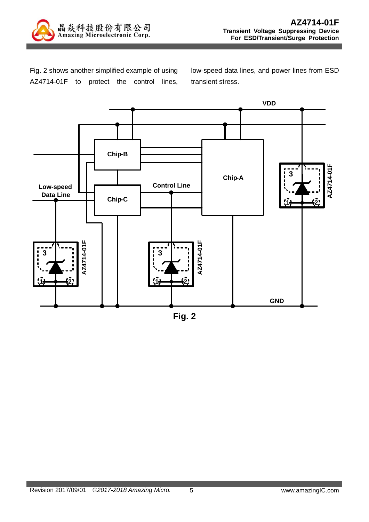

Fig. 2 shows another simplified example of using AZ4714-01F to protect the control lines, low-speed data lines, and power lines from ESD transient stress.



**Fig. 2**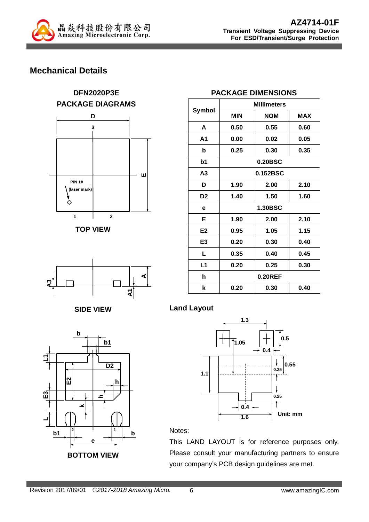

### **Mechanical Details**













|               | <b>PACKAGE DIMENSIONS</b> |
|---------------|---------------------------|
| <b>Cumhal</b> | <b>Millimeters</b>        |

| MIIIImeters |            |      |  |
|-------------|------------|------|--|
| <b>MIN</b>  | <b>NOM</b> | MAX  |  |
| 0.50        | 0.55       | 0.60 |  |
| 0.00        | 0.02       | 0.05 |  |
| 0.25        | 0.30       | 0.35 |  |
| 0.20BSC     |            |      |  |
| 0.152BSC    |            |      |  |
| 1.90        | 2.00       | 2.10 |  |
| 1.40        | 1.50       | 1.60 |  |
| 1.30BSC     |            |      |  |
| 1.90        | 2.00       | 2.10 |  |
| 0.95        | 1.05       | 1.15 |  |
| 0.20        | 0.30       | 0.40 |  |
| 0.35        | 0.40       | 0.45 |  |
| 0.20        | 0.25       | 0.30 |  |
| 0.20REF     |            |      |  |
| 0.20        | 0.30       | 0.40 |  |
|             |            |      |  |

**Land Layout**



Notes:

This LAND LAYOUT is for reference purposes only. Please consult your manufacturing partners to ensure your company's PCB design guidelines are met.